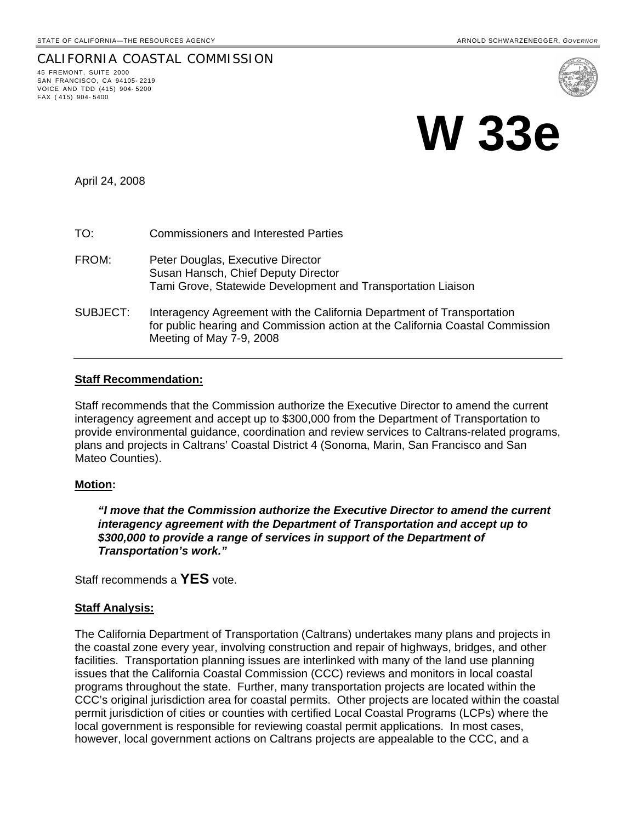### CALIFORNIA COASTAL COMMISSION 45 FREMONT, SUITE 2000 SAN FRANCISCO, CA 94105- 2219 VOICE AND TDD (415) 904- 5200 FAX ( 415) 904- 5400



April 24, 2008

- TO: Commissioners and Interested Parties
- FROM: Peter Douglas, Executive Director Susan Hansch, Chief Deputy Director Tami Grove, Statewide Development and Transportation Liaison
- SUBJECT: Interagency Agreement with the California Department of Transportation for public hearing and Commission action at the California Coastal Commission Meeting of May 7-9, 2008

# **Staff Recommendation:**

Staff recommends that the Commission authorize the Executive Director to amend the current interagency agreement and accept up to \$300,000 from the Department of Transportation to provide environmental guidance, coordination and review services to Caltrans-related programs, plans and projects in Caltrans' Coastal District 4 (Sonoma, Marin, San Francisco and San Mateo Counties).

# **Motion:**

*"I move that the Commission authorize the Executive Director to amend the current interagency agreement with the Department of Transportation and accept up to \$300,000 to provide a range of services in support of the Department of Transportation's work."*

Staff recommends a **YES** vote.

# **Staff Analysis:**

The California Department of Transportation (Caltrans) undertakes many plans and projects in the coastal zone every year, involving construction and repair of highways, bridges, and other facilities. Transportation planning issues are interlinked with many of the land use planning issues that the California Coastal Commission (CCC) reviews and monitors in local coastal programs throughout the state. Further, many transportation projects are located within the CCC's original jurisdiction area for coastal permits. Other projects are located within the coastal permit jurisdiction of cities or counties with certified Local Coastal Programs (LCPs) where the local government is responsible for reviewing coastal permit applications. In most cases, however, local government actions on Caltrans projects are appealable to the CCC, and a